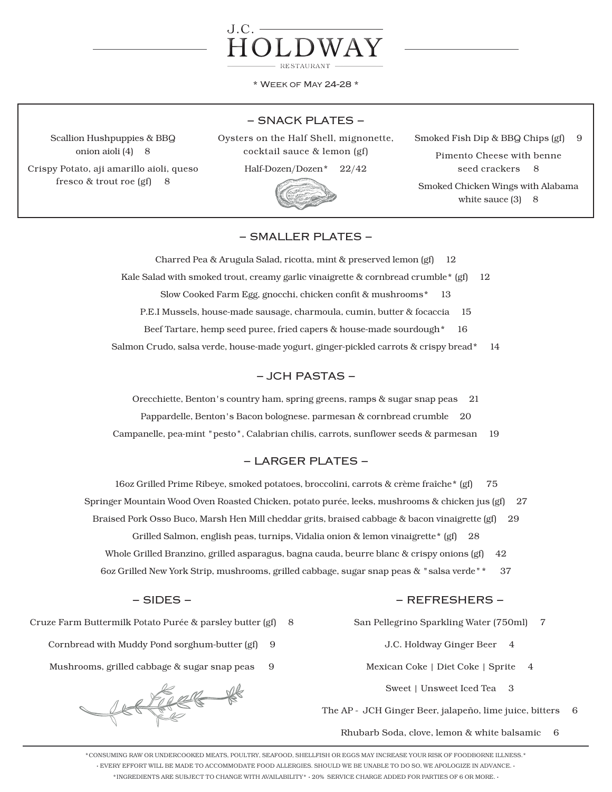

\* Week of May 24-28 \*

### − SNACK PLATES −

Scallion Hushpuppies & BBQ onion aioli (4) 8

Crispy Potato, aji amarillo aioli, queso fresco & trout roe (gf) 8

Oysters on the Half Shell, mignonette, cocktail sauce & lemon (gf)

Half-Dozen/Dozen\* 22/42



Smoked Fish Dip & BBQ Chips (gf) 9 Pimento Cheese with benne seed crackers 8 Smoked Chicken Wings with Alabama white sauce  $(3)$  8

# − SMALLER PLATES −

Charred Pea & Arugula Salad, ricotta, mint & preserved lemon (gf) 12

Kale Salad with smoked trout, creamy garlic vinaigrette & cornbread crumble\* (gf) 12

Slow Cooked Farm Egg, gnocchi, chicken confit & mushrooms\* 13

P.E.I Mussels, house-made sausage, charmoula, cumin, butter & focaccia 15

Beef Tartare, hemp seed puree, fried capers & house-made sourdough\* 16

Salmon Crudo, salsa verde, house-made yogurt, ginger-pickled carrots & crispy bread\* 14

## − JCH PASTAS −

Orecchiette, Benton's country ham, spring greens, ramps & sugar snap peas 21 Pappardelle, Benton's Bacon bolognese. parmesan & cornbread crumble 20 Campanelle, pea-mint "pesto", Calabrian chilis, carrots, sunflower seeds & parmesan 19

# − LARGER PLATES −

16oz Grilled Prime Ribeye, smoked potatoes, broccolini, carrots & crème fraîche\* (gf) 75

- Springer Mountain Wood Oven Roasted Chicken, potato purée, leeks, mushrooms & chicken jus (gf) 27
	- Braised Pork Osso Buco, Marsh Hen Mill cheddar grits, braised cabbage & bacon vinaigrette (gf) 29

Grilled Salmon, english peas, turnips, Vidalia onion & lemon vinaigrette\* (gf) 28

- Whole Grilled Branzino, grilled asparagus, bagna cauda, beurre blanc & crispy onions (gf) 42
- 6oz Grilled New York Strip, mushrooms, grilled cabbage, sugar snap peas & "salsa verde"\* 37

#### − SIDES −

Cruze Farm Buttermilk Potato Purée & parsley butter (gf) 8

- Cornbread with Muddy Pond sorghum-butter (gf) 9
- Mushrooms, grilled cabbage & sugar snap peas 9

REFREE #

#### − REFRESHERS −

- San Pellegrino Sparkling Water (750ml) 7
	- J.C. Holdway Ginger Beer 4
	- Mexican Coke | Diet Coke | Sprite 4
		- Sweet | Unsweet Iced Tea 3

The AP - JCH Ginger Beer, jalapeño, lime juice, bitters 6

Rhubarb Soda, clove, lemon & white balsamic 6

\*CONSUMING RAW OR UNDERCOOKED MEATS, POULTRY, SEAFOOD, SHELLFISH OR EGGS MAY INCREASE YOUR RISK OF FOODBORNE ILLNESS.\* · EVERY EFFORT WILL BE MADE TO ACCOMMODATE FOOD ALLERGIES. SHOULD WE BE UNABLE TO DO SO, WE APOLOGIZE IN ADVANCE. · \*INGREDIENTS ARE SUBJECT TO CHANGE WITH AVAILABILITY\* · 20% SERVICE CHARGE ADDED FOR PARTIES OF 6 OR MORE. ·